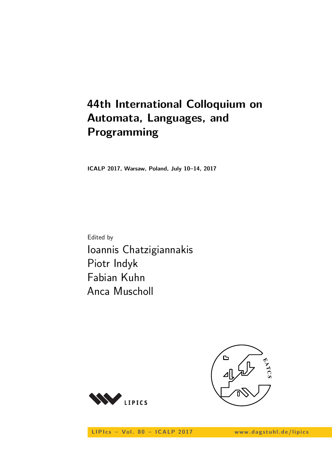# **44th International Colloquium on Automata, Languages, and Programming**

**ICALP 2017, Warsaw, Poland, July 10–14, 2017**

Edited by Ioannis Chatzigiannakis Piotr Indyk Fabian Kuhn Anca Muscholl





LIPIcs - Vol. 80 - ICALP 2017 www.dagstuhl.de/lipics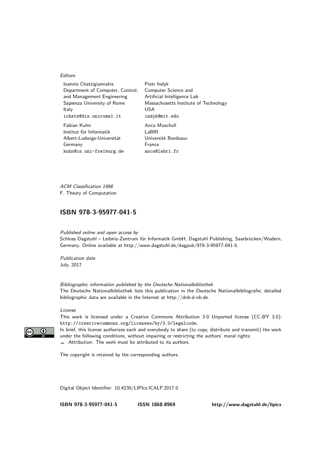#### **Editors**

| Ioannis Chatzigiannakis          | Piotr Indyk                           |
|----------------------------------|---------------------------------------|
| Department of Computer, Control, | Computer Science and                  |
| and Management Engineering       | Artificial Intelligence Lab           |
| Sapienza University of Rome      | Massachusetts Institute of Technology |
| Italy                            | USA                                   |
| ichatz@dis.uniroma1.it           | indyk@mit.edu                         |
| Fabian Kuhn                      | Anca Muscholl                         |
| Institut für Informatik          | LaBRI                                 |
| Albert-Ludwigs-Universität       | Université Bordeaux                   |
| Germany                          | France                                |
| kuhn@cs.uni-freiburg.de          | anca@labri.fr                         |

ACM Classification 1998 F. Theory of Computation

# **[ISBN 978-3-95977-041-5](http://www.dagstuhl.de/dagpub/978-3-95977-041-5)**

Published online and open access by Schloss Dagstuhl – Leibniz-Zentrum für Informatik GmbH, Dagstuhl Publishing, Saarbrücken/Wadern, Germany. Online available at [http://www.dagstuhl.de/dagpub/978-3-95977-041-5.](http://www.dagstuhl.de/dagpub/978-3-95977-041-5)

Publication date July, 2017

Bibliographic information published by the Deutsche Nationalbibliothek The Deutsche Nationalbibliothek lists this publication in the Deutsche Nationalbibliografie; detailed bibliographic data are available in the Internet at [http://dnb.d-nb.de.](http://dnb.d-nb.de)

#### License

This work is licensed under a Creative Commons Attribution 3.0 Unported license (CC-BY 3.0): http://creativecommons.org/licenses/by/3.0/legalcode.

In brief, this license authorizes each and everybody to share (to copy, distribute and transmit) the work under the following conditions, without impairing or restricting the authors' moral rights: Attribution: The work must be attributed to its authors.

The copyright is retained by the corresponding authors.

Digital Object Identifier: [10.4230/LIPIcs.ICALP.2017.0](http://dx.doi.org/10.4230/LIPIcs.ICALP.2017.0)

**[ISBN 978-3-95977-041-5](http://www.dagstuhl.de/dagpub/978-3-95977-041-5) [ISSN 1868-8969](http://drops.dagstuhl.de/lipics)<http://www.dagstuhl.de/lipics>**

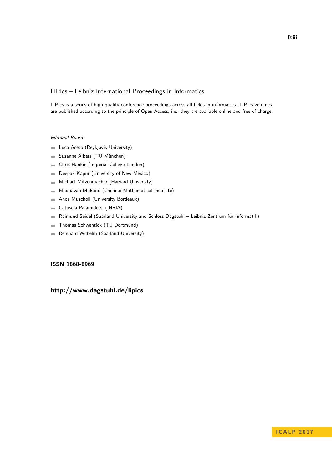# LIPIcs – Leibniz International Proceedings in Informatics

LIPIcs is a series of high-quality conference proceedings across all fields in informatics. LIPIcs volumes are published according to the principle of Open Access, i.e., they are available online and free of charge.

## Editorial Board

- **Luca Aceto** (Reykjavik University)
- Susanne Albers (TU München)  $\equiv$
- Chris Hankin (Imperial College London)  $\blacksquare$
- Deepak Kapur (University of New Mexico)  $\equiv$
- Michael Mitzenmacher (Harvard University)  $\sim$
- Madhavan Mukund (Chennai Mathematical Institute)  $\blacksquare$
- Anca Muscholl (University Bordeaux)  $\blacksquare$
- Catuscia Palamidessi (INRIA)  $\overline{\phantom{a}}$
- Raimund Seidel (Saarland University and Schloss Dagstuhl Leibniz-Zentrum für Informatik)  $\blacksquare$
- Thomas Schwentick (TU Dortmund)  $\overline{a}$
- Reinhard Wilhelm (Saarland University)  $\bar{a}$

# **[ISSN 1868-8969](http://www.dagstuhl.de/dagpub/1868-8969)**

# **<http://www.dagstuhl.de/lipics>**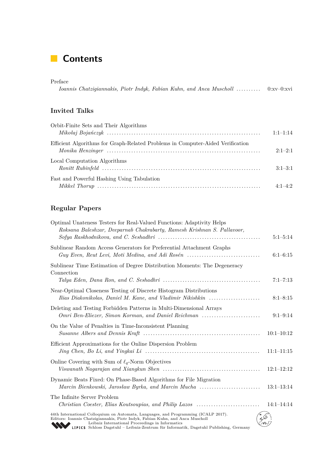# **Contents**

| Preface |                                                                                  |  |  |  |  |
|---------|----------------------------------------------------------------------------------|--|--|--|--|
|         | Ioannis Chatzigiannakis, Piotr Indyk, Fabian Kuhn, and Anca Muscholl  0:xv-0:xvi |  |  |  |  |

# **Invited Talks**

| Orbit-Finite Sets and Their Algorithms                                         |             |
|--------------------------------------------------------------------------------|-------------|
|                                                                                | $1:1-1:14$  |
| Efficient Algorithms for Graph-Related Problems in Computer-Aided Verification |             |
|                                                                                | $2:1-2:1$   |
| Local Computation Algorithms                                                   |             |
|                                                                                | $3:1-3:1$   |
| Fast and Powerful Hashing Using Tabulation                                     |             |
|                                                                                | $4.1 - 4.2$ |

# **Regular Papers**

| Optimal Unateness Testers for Real-Valued Functions: Adaptivity Helps<br>Roksana Baleshzar, Deeparnab Chakrabarty, Ramesh Krishnan S. Pallavoor,                                                                                                                                                                   | $5:1 - 5:14$   |
|--------------------------------------------------------------------------------------------------------------------------------------------------------------------------------------------------------------------------------------------------------------------------------------------------------------------|----------------|
| Sublinear Random Access Generators for Preferential Attachment Graphs<br>Guy Even, Reut Levi, Moti Medina, and Adi Rosén $\ldots \ldots \ldots \ldots \ldots \ldots \ldots \ldots$                                                                                                                                 | $6:1-6:15$     |
| Sublinear Time Estimation of Degree Distribution Moments: The Degeneracy<br>Connection                                                                                                                                                                                                                             |                |
|                                                                                                                                                                                                                                                                                                                    | $7:1 - 7:13$   |
| Near-Optimal Closeness Testing of Discrete Histogram Distributions<br>Ilias Diakonikolas, Daniel M. Kane, and Vladimir Nikishkin                                                                                                                                                                                   | $8:1 - 8:15$   |
| Deleting and Testing Forbidden Patterns in Multi-Dimensional Arrays<br>Omri Ben-Eliezer, Simon Korman, and Daniel Reichman                                                                                                                                                                                         | $9:1-9:14$     |
| On the Value of Penalties in Time-Inconsistent Planning                                                                                                                                                                                                                                                            | $10:1-10:12$   |
| Efficient Approximations for the Online Dispersion Problem                                                                                                                                                                                                                                                         | $11:1-11:15$   |
| Online Covering with Sum of $\ell_q$ -Norm Objectives                                                                                                                                                                                                                                                              | $12:1 - 12:12$ |
| Dynamic Beats Fixed: On Phase-Based Algorithms for File Migration<br>Marcin Bienkowski, Jarosław Byrka, and Marcin Mucha                                                                                                                                                                                           | $13:1-13:14$   |
| The Infinite Server Problem<br>Christian Coester, Elias Koutsoupias, and Philip Lazos                                                                                                                                                                                                                              | $14:1 - 14:14$ |
| 44th International Colloquium on Automata, Languages, and Programming (ICALP 2017).<br>Editors: Ioannis Chatzigiannakis, Piotr Indyk, Fabian Kuhn, and Anca Muscholl<br>Leibniz International Proceedings in Informatics<br>LIPICS Schloss Dagstuhl - Leibniz-Zentrum für Informatik, Dagstuhl Publishing, Germany |                |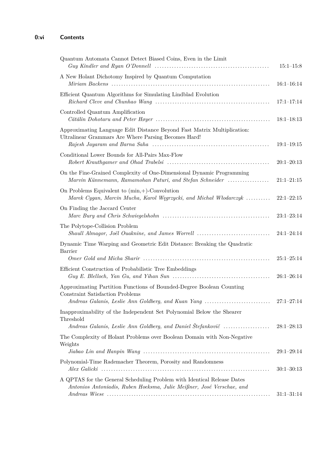| Quantum Automata Cannot Detect Biased Coins, Even in the Limit<br>$Guy$ Kindler and Ryan O'Donnell $\ldots \ldots \ldots \ldots \ldots \ldots \ldots \ldots \ldots \ldots \ldots \ldots \ldots$ | $15:1 - 15:8$  |
|-------------------------------------------------------------------------------------------------------------------------------------------------------------------------------------------------|----------------|
| A New Holant Dichotomy Inspired by Quantum Computation                                                                                                                                          | $16:1-16:14$   |
|                                                                                                                                                                                                 |                |
| Efficient Quantum Algorithms for Simulating Lindblad Evolution                                                                                                                                  | $17:1-17:14$   |
| Controlled Quantum Amplification                                                                                                                                                                | $18:1-18:13$   |
| Approximating Language Edit Distance Beyond Fast Matrix Multiplication:<br>Ultralinear Grammars Are Where Parsing Becomes Hard!                                                                 | $19:1 - 19:15$ |
| Conditional Lower Bounds for All-Pairs Max-Flow                                                                                                                                                 | $20:1 - 20:13$ |
| On the Fine-Grained Complexity of One-Dimensional Dynamic Programming<br>Marvin Künnemann, Ramamohan Paturi, and Stefan Schneider                                                               | $21:1-21:15$   |
| On Problems Equivalent to $(min,+)$ -Convolution<br>Marek Cygan, Marcin Mucha, Karol Węgrzycki, and Michał Włodarczyk                                                                           | $22:1-22:15$   |
| On Finding the Jaccard Center                                                                                                                                                                   | $23:1-23:14$   |
| The Polytope-Collision Problem<br>Shaull Almagor, Joël Ouaknine, and James Worrell                                                                                                              | $24:1 - 24:14$ |
| Dynamic Time Warping and Geometric Edit Distance: Breaking the Quadratic<br>Barrier                                                                                                             |                |
|                                                                                                                                                                                                 | $25:1 - 25:14$ |
| Efficient Construction of Probabilistic Tree Embeddings                                                                                                                                         | $26:1 - 26:14$ |
| Approximating Partition Functions of Bounded-Degree Boolean Counting<br>Constraint Satisfaction Problems                                                                                        |                |
| Andreas Galanis, Leslie Ann Goldberg, and Kuan Yang                                                                                                                                             | $27:1 - 27:14$ |
| Inapproximability of the Independent Set Polynomial Below the Shearer<br>Threshold                                                                                                              |                |
| Andreas Galanis, Leslie Ann Goldberg, and Daniel Stefankovič                                                                                                                                    | $28:1-28:13$   |
| The Complexity of Holant Problems over Boolean Domain with Non-Negative<br>Weights                                                                                                              |                |
|                                                                                                                                                                                                 | $29:1-29:14$   |
| Polynomial-Time Rademacher Theorem, Porosity and Randomness                                                                                                                                     | $30:1 - 30:13$ |
| A QPTAS for the General Scheduling Problem with Identical Release Dates<br>Antonios Antoniadis, Ruben Hoeksma, Julie Meißner, José Verschae, and                                                |                |
|                                                                                                                                                                                                 | $31:1 - 31:14$ |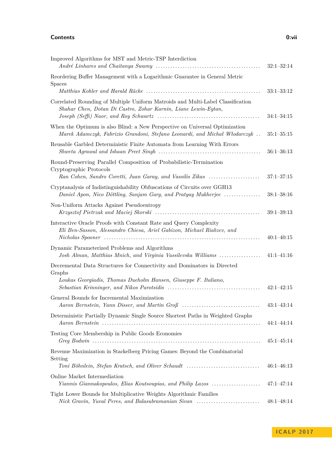## **Contents 0:vii**

| Improved Algorithms for MST and Metric-TSP Interdiction                                                                                                   | $32:1 - 32:14$ |
|-----------------------------------------------------------------------------------------------------------------------------------------------------------|----------------|
| Reordering Buffer Management with a Logarithmic Guarantee in General Metric<br><b>Spaces</b>                                                              |                |
|                                                                                                                                                           | $33:1 - 33:12$ |
| Correlated Rounding of Multiple Uniform Matroids and Multi-Label Classification<br>Shahar Chen, Dotan Di Castro, Zohar Karnin, Liane Lewin-Eytan,         | $34:1 - 34:15$ |
| When the Optimum is also Blind: a New Perspective on Universal Optimization<br>Marek Adamczyk, Fabrizio Grandoni, Stefano Leonardi, and Michał Włodarczyk | $35:1 - 35:15$ |
| Reusable Garbled Deterministic Finite Automata from Learning With Errors                                                                                  | $36:1 - 36:13$ |
| Round-Preserving Parallel Composition of Probabilistic-Termination<br>Cryptographic Protocols                                                             |                |
| Ran Cohen, Sandro Coretti, Juan Garay, and Vassilis Zikas                                                                                                 | $37:1 - 37:15$ |
| Cryptanalysis of Indistinguishability Obfuscations of Circuits over GGH13<br>Daniel Apon, Nico Döttling, Sanjam Garg, and Pratyay Mukherjee               | $38:1 - 38:16$ |
| Non-Uniform Attacks Against Pseudoentropy                                                                                                                 | $39:1 - 39:13$ |
| Interactive Oracle Proofs with Constant Rate and Query Complexity<br>Eli Ben-Sasson, Alessandro Chiesa, Ariel Gabizon, Michael Riabzev, and               | $40:1-40:15$   |
| Dynamic Parameterized Problems and Algorithms<br>Josh Alman, Matthias Mnich, and Virginia Vassilevska Williams                                            | $41:1 - 41:16$ |
| Decremental Data Structures for Connectivity and Dominators in Directed<br>Graphs                                                                         |                |
| Loukas Georgiadis, Thomas Dueholm Hansen, Giuseppe F. Italiano,                                                                                           | $42:1 - 42:15$ |
| General Bounds for Incremental Maximization<br>Aaron Bernstein, Yann Disser, and Martin Groß                                                              | $43:1-43:14$   |
| Deterministic Partially Dynamic Single Source Shortest Paths in Weighted Graphs                                                                           | $44:1 - 44:14$ |
| Testing Core Membership in Public Goods Economies                                                                                                         | $45:1 - 45:14$ |
| Revenue Maximization in Stackelberg Pricing Games: Beyond the Combinatorial<br>Setting<br>Toni Böhnlein, Stefan Kratsch, and Oliver Schaudt               | $46:1 - 46:13$ |
|                                                                                                                                                           |                |
| Online Market Intermediation<br>Yiannis Giannakopoulos, Elias Koutsoupias, and Philip Lazos                                                               | $47:1 - 47:14$ |
| Tight Lower Bounds for Multiplicative Weights Algorithmic Families<br>Nick Gravin, Yuval Peres, and Balasubramanian Sivan                                 | $48:1 - 48:14$ |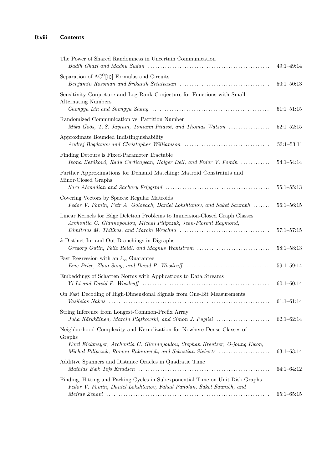| The Power of Shared Randomness in Uncertain Communication                                                                                                                                                                    | $49:1 - 49:14$ |
|------------------------------------------------------------------------------------------------------------------------------------------------------------------------------------------------------------------------------|----------------|
| Separation of $AC^0[\oplus]$ Formulas and Circuits                                                                                                                                                                           | $50:1 - 50:13$ |
| Sensitivity Conjecture and Log-Rank Conjecture for Functions with Small<br><b>Alternating Numbers</b>                                                                                                                        | $51:1 - 51:15$ |
| Randomized Communication vs. Partition Number<br>Mika Göös, T.S. Jayram, Toniann Pitassi, and Thomas Watson                                                                                                                  | $52:1 - 52:15$ |
| Approximate Bounded Indistinguishability                                                                                                                                                                                     | $53:1 - 53:11$ |
| Finding Detours is Fixed-Parameter Tractable<br>Ivona Bezáková, Radu Curticapean, Holger Dell, and Fedor V. Fomin                                                                                                            | $54:1 - 54:14$ |
| Further Approximations for Demand Matching: Matroid Constraints and<br>Minor-Closed Graphs                                                                                                                                   | $55:1 - 55:13$ |
| Covering Vectors by Spaces: Regular Matroids<br>Fedor V. Fomin, Petr A. Golovach, Daniel Lokshtanov, and Saket Saurabh                                                                                                       | $56:1 - 56:15$ |
| Linear Kernels for Edge Deletion Problems to Immersion-Closed Graph Classes<br>Archontia C. Giannopoulou, Michał Pilipczuk, Jean-Florent Raymond,                                                                            | $57:1 - 57:15$ |
| $k$ -Distinct In- and Out-Branchings in Digraphs<br>Gregory Gutin, Felix Reidl, and Magnus Wahlström                                                                                                                         | $58:1 - 58:13$ |
| Fast Regression with an $\ell_{\infty}$ Guarantee                                                                                                                                                                            | $59:1 - 59:14$ |
| Embeddings of Schatten Norms with Applications to Data Streams                                                                                                                                                               | $60:1 - 60:14$ |
| On Fast Decoding of High-Dimensional Signals from One-Bit Measurements                                                                                                                                                       | $61:1-61:14$   |
| String Inference from Longest-Common-Prefix Array<br>Juha Kärkkäinen, Marcin Piątkowski, and Simon J. Puglisi                                                                                                                | $62:1-62:14$   |
| Neighborhood Complexity and Kernelization for Nowhere Dense Classes of<br>Graphs<br>Kord Eickmeyer, Archontia C. Giannopoulou, Stephan Kreutzer, O-joung Kwon,<br>Michal Pilipczuk, Roman Rabinovich, and Sebastian Siebertz | $63:1 - 63:14$ |
| Additive Spanners and Distance Oracles in Quadratic Time                                                                                                                                                                     | $64:1-64:12$   |
| Finding, Hitting and Packing Cycles in Subexponential Time on Unit Disk Graphs<br>Fedor V. Fomin, Daniel Lokshtanov, Fahad Panolan, Saket Saurabh, and                                                                       | $65:1-65:15$   |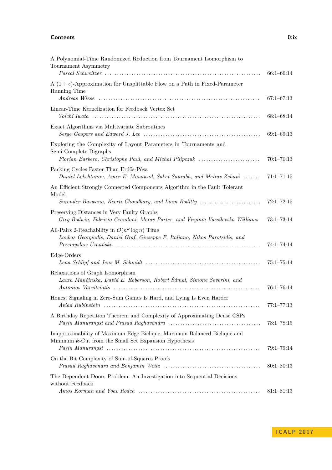## **Contents 0:ix**

| A Polynomial-Time Randomized Reduction from Tournament Isomorphism to<br>Tournament Asymmetry                                                                     | $66:1 - 66:14$ |
|-------------------------------------------------------------------------------------------------------------------------------------------------------------------|----------------|
| A $(1 + \epsilon)$ -Approximation for Unsplittable Flow on a Path in Fixed-Parameter<br>Running Time                                                              | $67:1 - 67:13$ |
| Linear-Time Kernelization for Feedback Vertex Set                                                                                                                 | $68:1 - 68:14$ |
| Exact Algorithms via Multivariate Subroutines                                                                                                                     | $69:1 - 69:13$ |
| Exploring the Complexity of Layout Parameters in Tournaments and<br>Semi-Complete Digraphs<br>Florian Barbero, Christophe Paul, and Michal Pilipczuk              | $70:1 - 70:13$ |
| Packing Cycles Faster Than Erdős-Pósa<br>Daniel Lokshtanov, Amer E. Mouawad, Saket Saurabh, and Meirav Zehavi                                                     | $71:1 - 71:15$ |
| An Efficient Strongly Connected Components Algorithm in the Fault Tolerant<br>Model                                                                               |                |
| Surender Baswana, Keerti Choudhary, and Liam Roditty                                                                                                              | $72:1 - 72:15$ |
| Preserving Distances in Very Faulty Graphs<br>Greg Bodwin, Fabrizio Grandoni, Merav Parter, and Virginia Vassilevska Williams                                     | $73:1 - 73:14$ |
| All-Pairs 2-Reachability in $\mathcal{O}(n^{\omega} \log n)$ Time<br>Loukas Georgiadis, Daniel Graf, Giuseppe F. Italiano, Nikos Parotsidis, and                  | $74:1 - 74:14$ |
| Edge-Orders                                                                                                                                                       | $75:1 - 75:14$ |
| Relaxations of Graph Isomorphism<br>Laura Mančinska, David E. Roberson, Robert Šámal, Simone Severini, and                                                        | $76:1 - 76:14$ |
| Honest Signaling in Zero-Sum Games Is Hard, and Lying Is Even Harder                                                                                              | $77:1 - 77:13$ |
| A Birthday Repetition Theorem and Complexity of Approximating Dense CSPs                                                                                          | $78:1 - 78:15$ |
| Inapproximability of Maximum Edge Biclique, Maximum Balanced Biclique and<br>Minimum $\boldsymbol{k}\text{-}\mathrm{Cut}$ from the Small Set Expansion Hypothesis | $79:1 - 79:14$ |
| On the Bit Complexity of Sum-of-Squares Proofs                                                                                                                    | $80:1 - 80:13$ |
| The Dependent Doors Problem: An Investigation into Sequential Decisions<br>without Feedback                                                                       | $81:1 - 81:13$ |

**I C A L P 2 0 1 7**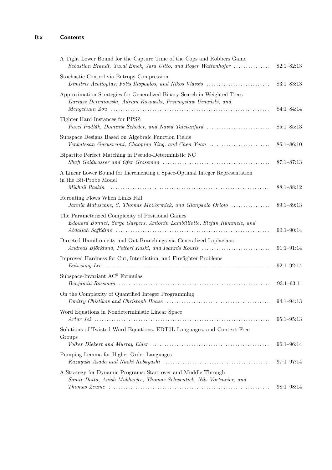| A Tight Lower Bound for the Capture Time of the Cops and Robbers Game<br>Sebastian Brandt, Yuval Emek, Jara Uitto, and Roger Wattenhofer                                                                   | $82:1 - 82:13$ |
|------------------------------------------------------------------------------------------------------------------------------------------------------------------------------------------------------------|----------------|
| Stochastic Control via Entropy Compression<br>Dimitris Achlioptas, Fotis Iliopoulos, and Nikos Vlassis                                                                                                     | $83:1 - 83:13$ |
| Approximation Strategies for Generalized Binary Search in Weighted Trees<br>Dariusz Dereniowski, Adrian Kosowski, Przemysław Uznański, and                                                                 | $84:1 - 84:14$ |
| Tighter Hard Instances for PPSZ<br>Pavel Pudlák, Dominik Scheder, and Navid Talebanfard                                                                                                                    | $85:1 - 85:13$ |
| Subspace Designs Based on Algebraic Function Fields<br>Venkatesan Guruswami, Chaoping Xing, and Chen Yuan                                                                                                  | $86:1 - 86:10$ |
| Bipartite Perfect Matching in Pseudo-Deterministic NC                                                                                                                                                      | $87:1 - 87:13$ |
| A Linear Lower Bound for Incrementing a Space-Optimal Integer Representation<br>in the Bit-Probe Model<br>Mikhail Raskin                                                                                   | $88:1 - 88:12$ |
| Rerouting Flows When Links Fail<br>Jannik Matuschke, S. Thomas McCormick, and Gianpaolo Oriolo                                                                                                             | $89:1 - 89:13$ |
| The Parameterized Complexity of Positional Games<br>Édouard Bonnet, Serge Gaspers, Antonin Lambilliotte, Stefan Rümmele, and                                                                               | $90:1 - 90:14$ |
| Directed Hamiltonicity and Out-Branchings via Generalized Laplacians<br>Andreas Björklund, Petteri Kaski, and Ioannis Koutis                                                                               | $91:1 - 91:14$ |
| Improved Hardness for Cut, Interdiction, and Firefighter Problems<br>$Euiwoord$ $Lee$ $\ldots$ $\ldots$ $\ldots$ $\ldots$ $\ldots$ $\ldots$ $\ldots$ $\ldots$ $\ldots$ $\ldots$ $\ldots$ $\ldots$ $\ldots$ | $92:1 - 92:14$ |
| Subspace-Invariant $AC^0$ Formulas                                                                                                                                                                         | $93:1 - 93:11$ |
| On the Complexity of Quantified Integer Programming                                                                                                                                                        | $94:1 - 94:13$ |
| Word Equations in Nondeterministic Linear Space                                                                                                                                                            | $95:1 - 95:13$ |
| Solutions of Twisted Word Equations, EDT0L Languages, and Context-Free<br>Groups                                                                                                                           | $96:1 - 96:14$ |
| Pumping Lemma for Higher-Order Languages                                                                                                                                                                   | $97:1 - 97:14$ |
| A Strategy for Dynamic Programs: Start over and Muddle Through<br>Samir Datta, Anish Mukherjee, Thomas Schwentick, Nils Vortmeier, and                                                                     | $98:1 - 98:14$ |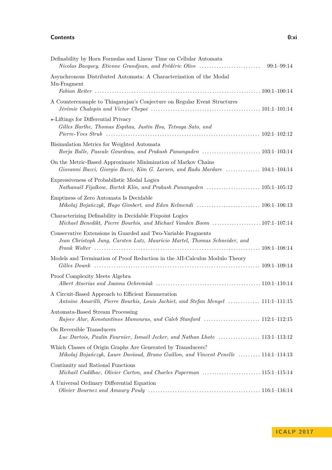### **Contents 0:xi**

| Definability by Horn Formulas and Linear Time on Cellular Automata<br>Nicolas Bacquey, Etienne Grandjean, and Frédéric Olive                       | $99:1 - 99:14$ |
|----------------------------------------------------------------------------------------------------------------------------------------------------|----------------|
| Asynchronous Distributed Automata: A Characterization of the Modal                                                                                 |                |
| Mu-Fragment                                                                                                                                        |                |
| A Counterexample to Thiagarajan's Conjecture on Regular Event Structures                                                                           |                |
| $\star$ -Liftings for Differential Privacy<br>Gilles Barthe, Thomas Espitau, Justin Hsu, Tetsuya Sato, and                                         |                |
| Bisimulation Metrics for Weighted Automata                                                                                                         |                |
| On the Metric-Based Approximate Minimization of Markov Chains<br>Giovanni Bacci, Giorgio Bacci, Kim G. Larsen, and Radu Mardare  104:1-104:14      |                |
| Expressiveness of Probabilistic Modal Logics<br>Nathanaël Fijalkow, Bartek Klin, and Prakash Panangaden  105:1-105:12                              |                |
| Emptiness of Zero Automata Is Decidable<br>Mikołaj Bojańczyk, Hugo Gimbert, and Edon Kelmendi  106:1-106:13                                        |                |
| Characterizing Definability in Decidable Fixpoint Logics<br>Michael Benedikt, Pierre Bourhis, and Michael Vanden Boom 107:1-107:14                 |                |
| Conservative Extensions in Guarded and Two-Variable Fragments<br>Jean Christoph Jung, Carsten Lutz, Mauricio Martel, Thomas Schneider, and         |                |
| Models and Termination of Proof Reduction in the $\lambda$ II-Calculus Modulo Theory                                                               |                |
| Proof Complexity Meets Algebra                                                                                                                     |                |
| A Circuit-Based Approach to Efficient Enumeration<br>Antoine Amarilli, Pierre Bourhis, Louis Jachiet, and Stefan Mengel  111:1-111:15              |                |
| Automata-Based Stream Processing                                                                                                                   |                |
| On Reversible Transducers<br>Luc Dartois, Paulin Fournier, Ismaël Jecker, and Nathan Lhote  113:1-113:12                                           |                |
| Which Classes of Origin Graphs Are Generated by Transducers?<br>Mikolaj Bojańczyk, Laure Daviaud, Bruno Guillon, and Vincent Penelle  114:1-114:13 |                |
| Continuity and Rational Functions                                                                                                                  |                |
| A Universal Ordinary Differential Equation                                                                                                         |                |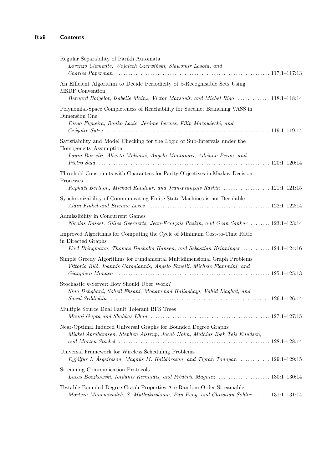| Regular Separability of Parikh Automata<br>Lorenzo Clemente, Wojciech Czerwiński, Sławomir Lasota, and                                                                           |
|----------------------------------------------------------------------------------------------------------------------------------------------------------------------------------|
| An Efficient Algorithm to Decide Periodicity of b-Recognisable Sets Using<br>MSDF Convention<br>Bernard Boigelot, Isabelle Mainz, Victor Marsault, and Michel Rigo  118:1-118:14 |
| Polynomial-Space Completeness of Reachability for Succinct Branching VASS in<br>Dimension One<br>Diego Figueira, Ranko Lazić, Jérôme Leroux, Filip Mazowiecki, and               |
| Satisfiability and Model Checking for the Logic of Sub-Intervals under the<br>Homogeneity Assumption<br>Laura Bozzelli, Alberto Molinari, Angelo Montanari, Adriano Peron, and   |
| Threshold Constraints with Guarantees for Parity Objectives in Markov Decision<br>Processes<br>Raphaël Berthon, Mickael Randour, and Jean-François Raskin  121:1-121:15          |
| Synchronizability of Communicating Finite State Machines is not Decidable                                                                                                        |
| Admissibility in Concurrent Games<br>Nicolas Basset, Gilles Geeraerts, Jean-François Raskin, and Ocan Sankur  123:1-123:14                                                       |
| Improved Algorithms for Computing the Cycle of Minimum Cost-to-Time Ratio<br>in Directed Graphs<br>Karl Bringmann, Thomas Dueholm Hansen, and Sebastian Krinninger  124:1-124:16 |
| Simple Greedy Algorithms for Fundamental Multidimensional Graph Problems<br>Vittorio Bilò, Ioannis Caragiannis, Angelo Fanelli, Michele Flammini, and                            |
| Stochastic k-Server: How Should Uber Work?<br>Sina Dehghani, Soheil Ehsani, Mohammad Hajiaghayi, Vahid Liaghat, and                                                              |
| Multiple Source Dual Fault Tolerant BFS Trees                                                                                                                                    |
| Near-Optimal Induced Universal Graphs for Bounded Degree Graphs<br>Mikkel Abrahamsen, Stephen Alstrup, Jacob Holm, Mathias Bæk Tejs Knudsen,                                     |
| Universal Framework for Wireless Scheduling Problems<br>Eyjólfur I. Ásgeirsson, Magnús M. Halldórsson, and Tigran Tonoyan  129:1–129:15                                          |
| <b>Streaming Communication Protocols</b><br>Lucas Boczkowski, Iordanis Kerenidis, and Frédéric Magniez  130:1-130:14                                                             |
| Testable Bounded Degree Graph Properties Are Random Order Streamable<br>Morteza Monemizadeh, S. Muthukrishnan, Pan Peng, and Christian Sohler  131:1-131:14                      |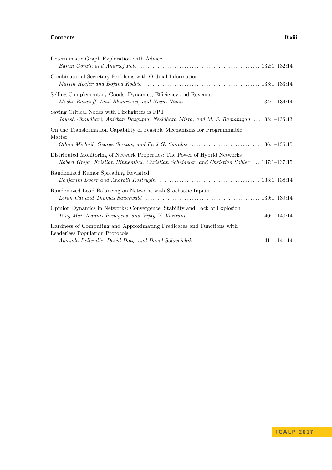## **Contents 0:xiii**

| Deterministic Graph Exploration with Advice                                                                                                                              |
|--------------------------------------------------------------------------------------------------------------------------------------------------------------------------|
| Combinatorial Secretary Problems with Ordinal Information                                                                                                                |
| Selling Complementary Goods: Dynamics, Efficiency and Revenue                                                                                                            |
| Saving Critical Nodes with Firefighters is FPT<br>Jayesh Choudhari, Anirban Dasgupta, Neeldhara Misra, and M. S. Ramanujan  135:1-135:13                                 |
| On the Transformation Capability of Feasible Mechanisms for Programmable<br>Matter                                                                                       |
| Distributed Monitoring of Network Properties: The Power of Hybrid Networks<br>Robert Gmyr, Kristian Hinnenthal, Christian Scheideler, and Christian Sohler  137:1-137:15 |
| Randomized Rumor Spreading Revisited                                                                                                                                     |
| Randomized Load Balancing on Networks with Stochastic Inputs                                                                                                             |
| Opinion Dynamics in Networks: Convergence, Stability and Lack of Explosion<br>Tung Mai, Ioannis Panageas, and Vijay V. Vazirani  140:1-140:14                            |
| Hardness of Computing and Approximating Predicates and Functions with<br>Leaderless Population Protocols                                                                 |
|                                                                                                                                                                          |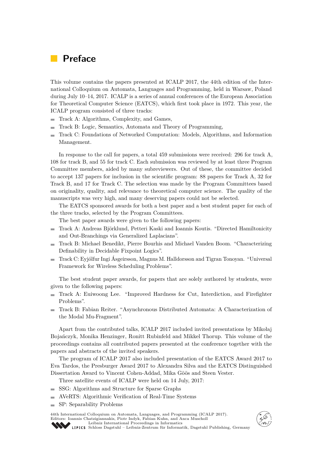# **Preface**

This volume contains the papers presented at ICALP 2017, the 44th edition of the International Colloquium on Automata, Languages and Programming, held in Warsaw, Poland during July 10–14, 2017. ICALP is a series of annual conferences of the European Association for Theoretical Computer Science (EATCS), which first took place in 1972. This year, the ICALP program consisted of three tracks:

- Track A: Algorithms, Complexity, and Games,
- Track B: Logic, Semantics, Automata and Theory of Programming,  $\overline{a}$
- Track C: Foundations of Networked Computation: Models, Algorithms, and Information  $\blacksquare$ Management.

In response to the call for papers, a total 459 submissions were received: 296 for track A, 108 for track B, and 55 for track C. Each submission was reviewed by at least three Program Committee members, aided by many subreviewers. Out of these, the committee decided to accept 137 papers for inclusion in the scientific program: 88 papers for Track A, 32 for Track B, and 17 for Track C. The selection was made by the Program Committees based on originality, quality, and relevance to theoretical computer science. The quality of the manuscripts was very high, and many deserving papers could not be selected.

The EATCS sponsored awards for both a best paper and a best student paper for each of the three tracks, selected by the Program Committees.

The best paper awards were given to the following papers:

- Track A: Andreas Björklund, Petteri Kaski and Ioannis Koutis. "Directed Hamiltonicity and Out-Branchings via Generalized Laplacians".
- Track B: Michael Benedikt, Pierre Bourhis and Michael Vanden Boom. "Characterizing  $\sim$ Definability in Decidable Fixpoint Logics".
- Track C: Eyjólfur Ingi Ásgeirsson, Magnus M. Halldorsson and Tigran Tonoyan. "Universal Framework for Wireless Scheduling Problems".

The best student paper awards, for papers that are solely authored by students, were given to the following papers:

- Track A: Euiwoong Lee. "Improved Hardness for Cut, Interdiction, and Firefighter Problems".
- Track B: Fabian Reiter. "Asynchronous Distributed Automata: A Characterization of the Modal Mu-Fragment".

Apart from the contributed talks, ICALP 2017 included invited presentations by Mikołaj Bojańczyk, Monika Henzinger, Ronitt Rubinfeld and Mikkel Thorup. This volume of the proceedings contains all contributed papers presented at the conference together with the papers and abstracts of the invited speakers.

The program of ICALP 2017 also included presentation of the EATCS Award 2017 to Eva Tardos, the Presburger Award 2017 to Alexandra Silva and the EATCS Distinguished Dissertation Award to Vincent Cohen-Addad, Mika Göös and Steen Vester.

Three satellite events of ICALP were held on 14 July, 2017:

- SSG: Algorithms and Structure for Sparse Graphs
- AVeRTS: Algorithmic Verification of Real-Time Systems
- SP: Separability Problems

44th International Colloquium on Automata, Languages, and Programming (ICALP 2017). Editors: Ioannis Chatzigiannakis, Piotr Indyk, Fabian Kuhn, and Anca Muscholl [Leibniz International Proceedings in Informatics](http://www.dagstuhl.de/en/publications/lipics/)

**<sup>E</sup>A<sup>T</sup> C**

[Schloss Dagstuhl – Leibniz-Zentrum für Informatik, Dagstuhl Publishing, Germany](http://www.dagstuhl.de/en/about-dagstuhl/)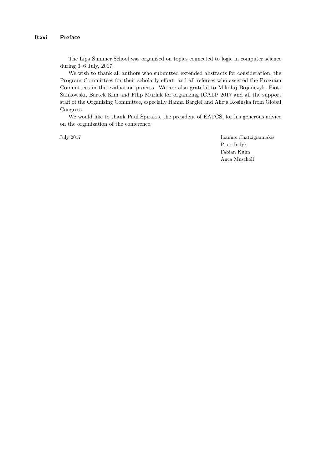The Lipa Summer School was organized on topics connected to logic in computer science during 3–6 July, 2017.

We wish to thank all authors who submitted extended abstracts for consideration, the Program Committees for their scholarly effort, and all referees who assisted the Program Committees in the evaluation process. We are also grateful to Mikołaj Bojańczyk, Piotr Sankowski, Bartek Klin and Filip Murlak for organizing ICALP 2017 and all the support staff of the Organizing Committee, especially Hanna Bargieł and Alicja Kosińska from Global Congress.

We would like to thank Paul Spirakis, the president of EATCS, for his generous advice on the organization of the conference.

July 2017 Ioannis Chatzigiannakis Piotr Indyk Fabian Kuhn Anca Muscholl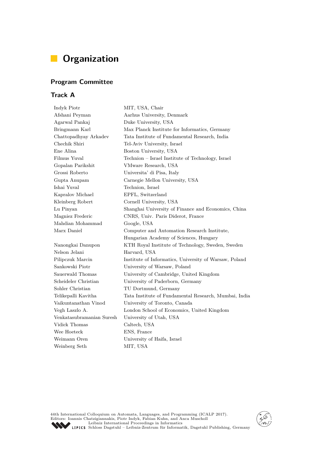# **Organization**

# **Program Committee**

# **Track A**

| Indyk Piotr               | MIT, USA, Chair                                        |  |
|---------------------------|--------------------------------------------------------|--|
| Afshani Peyman            | Aarhus University, Denmark                             |  |
| Agarwal Pankaj            | Duke University, USA                                   |  |
| Bringmann Karl            | Max Planck Institute for Informatics, Germany          |  |
| Chattopadhyay Arkadev     | Tata Institute of Fundamental Research, India          |  |
| Chechik Shiri             | Tel-Aviv University, Israel                            |  |
| Ene Alina                 | Boston University, USA                                 |  |
| Filmus Yuval              | Technion – Israel Institute of Technology, Israel      |  |
| Gopalan Parikshit         | VMware Research, USA                                   |  |
| Grossi Roberto            | Universita' di Pisa, Italy                             |  |
| Gupta Anupam              | Carnegie Mellon University, USA                        |  |
| Ishai Yuval               | Technion, Israel                                       |  |
| Kapralov Michael          | EPFL, Switzerland                                      |  |
| Kleinberg Robert          | Cornell University, USA                                |  |
| Lu Pinyan                 | Shanghai University of Finance and Economics, China    |  |
| Magniez Frederic          | CNRS, Univ. Paris Diderot, France                      |  |
| Mahdian Mohammad          | Google, USA                                            |  |
| Marx Daniel               | Computer and Automation Research Institute,            |  |
|                           | Hungarian Academy of Sciences, Hungary                 |  |
| Nanongkai Danupon         | KTH Royal Institute of Technology, Sweden, Sweden      |  |
| Nelson Jelani             | Harvard, USA                                           |  |
| Pilipczuk Marcin          | Institute of Informatics, University of Warsaw, Poland |  |
| Sankowski Piotr           | University of Warsaw, Poland                           |  |
| Sauerwald Thomas          | University of Cambridge, United Kingdom                |  |
| Scheideler Christian      | University of Paderborn, Germany                       |  |
| Sohler Christian          | TU Dortmund, Germany                                   |  |
| Telikepalli Kavitha       | Tata Institute of Fundamental Research, Mumbai, India  |  |
| Vaikuntanathan Vinod      | University of Toronto, Canada                          |  |
| Vegh Laszlo A.            | London School of Economics, United Kingdom             |  |
| Venkatasubramanian Suresh | University of Utah, USA                                |  |
| Vidick Thomas             | Caltech, USA                                           |  |
| Wee Hoeteck               | ENS, France                                            |  |
| Weimann Oren              | University of Haifa, Israel                            |  |
| Weinberg Seth             | MIT, USA                                               |  |
|                           |                                                        |  |

44th International Colloquium on Automata, Languages, and Programming (ICALP 2017).<br>Editors: Ioannis Chatzigiannakis, Piotr Indyk, Fabian Kuhn, and Anca Muscholl<br>[Leibniz International Proceedings in Informatics](http://www.dagstuhl.de/en/publications/lipics/)<br>LIPICS Schl

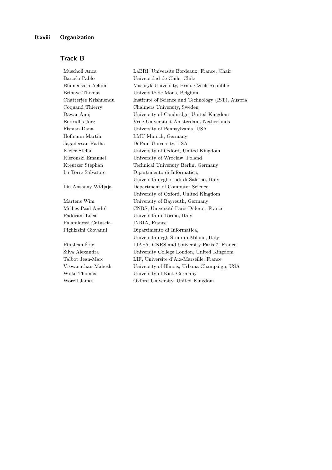# **Track B**

| Muscholl Anca         | LaBRI, Universite Bordeaux, France, Chair          |  |
|-----------------------|----------------------------------------------------|--|
| Barcelo Pablo         | Universidad de Chile, Chile                        |  |
| Blumensath Achim      | Masaryk University, Brno, Czech Republic           |  |
| <b>Brihaye Thomas</b> | Université de Mons, Belgium                        |  |
| Chatterjee Krishnendu | Institute of Science and Technology (IST), Austria |  |
| Coquand Thierry       | Chalmers University, Sweden                        |  |
| Dawar Anuj            | University of Cambridge, United Kingdom            |  |
| Endrullis Jörg        | Vrije Universiteit Amsterdam, Netherlands          |  |
| Fisman Dana           | University of Pennsylvania, USA                    |  |
| Hofmann Martin        | LMU Munich, Germany                                |  |
| Jagadeesan Radha      | DePaul University, USA                             |  |
| Kiefer Stefan         | University of Oxford, United Kingdom               |  |
| Kieronski Emanuel     | University of Wroclaw, Poland                      |  |
| Kreutzer Stephan      | Technical University Berlin, Germany               |  |
| La Torre Salvatore    | Dipartimento di Informatica,                       |  |
|                       | Università degli studi di Salerno, Italy           |  |
| Lin Anthony Widjaja   | Department of Computer Science,                    |  |
|                       | University of Oxford, United Kingdom               |  |
| Martens Wim           | University of Bayreuth, Germany                    |  |
| Mellies Paul-André    | CNRS, Université Paris Diderot, France             |  |
| Padovani Luca         | Università di Torino, Italy                        |  |
| Palamidessi Catuscia  | INRIA, France                                      |  |
| Pighizzini Giovanni   | Dipartimento di Informatica,                       |  |
|                       | Università degli Studi di Milano, Italy            |  |
| Pin Jean-Éric         | LIAFA, CNRS and University Paris 7, France         |  |
| Silva Alexandra       | University College London, United Kingdom          |  |
| Talbot Jean-Marc      | LIF, Universite d'Aix-Marseille, France            |  |
| Viswanathan Mahesh    | University of Illinois, Urbana-Champaign, USA      |  |
| Wilke Thomas          | University of Kiel, Germany                        |  |
| Worell James          | Oxford University, United Kingdom                  |  |
|                       |                                                    |  |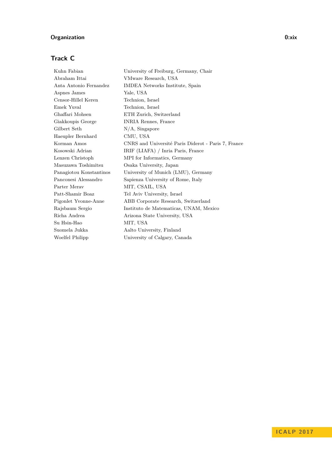# **Organization 0:xix**

# **Track C**

| University of Freiburg, Germany, Chair              |  |
|-----------------------------------------------------|--|
| VMware Research, USA                                |  |
| IMDEA Networks Institute, Spain                     |  |
| Yale, USA                                           |  |
| Technion, Israel                                    |  |
| Technion, Israel                                    |  |
| ETH Zurich, Switzerland                             |  |
| INRIA Rennes, France                                |  |
| $N/A$ , Singapore                                   |  |
| CMU, USA                                            |  |
| CNRS and Université Paris Diderot - Paris 7, France |  |
| IRIF (LIAFA) / Inria Paris, France                  |  |
| MPI for Informatics, Germany                        |  |
| Osaka University, Japan                             |  |
| University of Munich (LMU), Germany                 |  |
| Sapienza University of Rome, Italy                  |  |
| MIT, CSAIL, USA                                     |  |
| Tel Aviv University, Israel                         |  |
| ABB Corporate Research, Switzerland                 |  |
| Instituto de Matematicas, UNAM, Mexico              |  |
| Arizona State University, USA                       |  |
| MIT, USA                                            |  |
| Aalto University, Finland                           |  |
| University of Calgary, Canada                       |  |
|                                                     |  |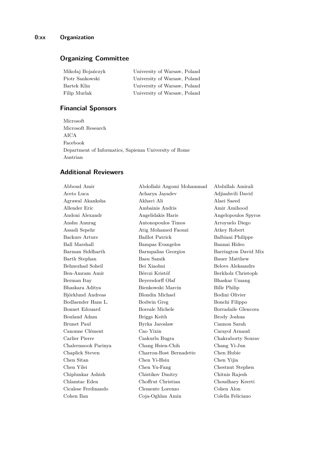# **Organizing Committee**

| Mikołaj Bojańczyk | University of Warsaw, Poland |
|-------------------|------------------------------|
| Piotr Sankowski   | University of Warsaw, Poland |
| Bartek Klin       | University of Warsaw, Poland |
| Filip Murlak      | University of Warsaw, Poland |

# **Financial Sponsors**

Microsoft Microsoft Research AICA Facebook Department of Informatics, Sapienza University of Rome Austrian

# **Additional Reviewers**

Abboud Amir Abdollahi Azgomi Mohammad Abdullah Amirali Aceto Luca Acharya Jayadev Adjiashvili David Agrawal Akanksha Akhavi Ali Alaei Saeed Allender Eric Ambainis Andris Amir Amihood Andoni Alexandr Angelidakis Haris Angelopoulos Spyros Anshu Anurag Antonopoulos Timos Arroyuelo Diego Assadi Sepehr Atig Mohamed Faouzi Atkey Robert Backurs Arturs Baillot Patrick Balbiani Philippe Ball Marshall Bampas Evangelos Bannai Hideo Barman Siddharth Barmpalias Georgios Barrington David Mix Barth Stephan Basu Samik Bauer Matthew Behnezhad Soheil Bei Xiaohui Belovs Aleksandrs Ben-Amram Amir Bérczi Kristóf Berkholz Christoph Berman Itay Beyersdorff Olaf Bhaskar Umang Bhaskara Aditya Bienkowski Marcin Bille Philip Björklund Andreas Blondin Michael Bodini Olivier Bodlaender Hans L. Bodwin Greg Bonchi Filippo Bonnet Edouard Boreale Michele Borradaile Glencora Bouland Adam Briggs Keith Brody Joshua Brunet Paul Byrka Jaroslaw Cannon Sarah Canonne Clément Cao Yixin Carayol Arnaud Carlier Pierre Caskurlu Bugra Chakraborty Sourav Chalermsook Parinya Chang Hsien-Chih Chang Yi-Jun Chaplick Steven Charron-Bost Bernadette Chen Hubie Chen Sitan Chen Yi-Hsiu Chen Yijia Chen Yilei Chen Yu-Fang Chestnut Stephen Chiplunkar Ashish Chistikov Dmitry Chitnis Rajesh Chlamtac Eden Choffrut Christian Choudhary Keerti Cicalese Ferdinando Clemente Lorenzo Cohen Alon Cohen Ilan Coja-Oghlan Amin Colella Feliciano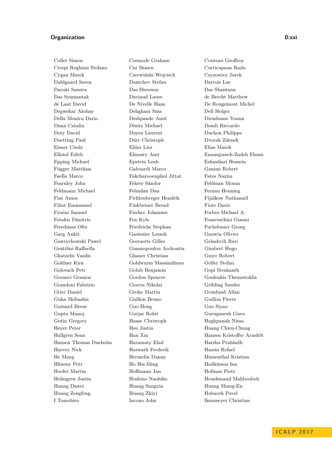## **Organization 0:xxi**

Collet Simon Cormode Graham Couteau Geoffroy Crespi Reghizzi Stefano Cui Shawn Curticapean Radu Cygan Marek Czerwiński Wojciech Czyzowicz Jurek Dahlgaard Søren Dantchev Stefan Dartois Luc Daruki Samira Das Bireswar Das Shantanu Das Syamantak Daviaud Laure de Brecht Matthew de Laat David De Nivelle Hans De Rougemont Michel Degwekar Akshay Dehghani Sina Dell Holger Della Monica Dario Deshpande Amit Dieudonne Yoann Dima Catalin Dinitz Michael Dondi Riccardo Doty David Doyen Laurent Duchon Philippe Duetting Paul Dürr Christoph Dvorak Zdenek Eisner Cindy Eldar Lior Elias Marek Epping Michael Epstein Leah Esfandiari Hossein Függer Matthias Gaboardi Marco Ganian Robert Faella Marco Fakcharooenphol Jittat Fates Nazim Fearnley John Fekete Sándor Feldman Moran Feldmann Michael Felmdan Dan Fernau Henning Fiat Amos Fichtenberger Hendrik Fijalkow Nathanaël Filiot Emmanuel Finkbeiner Bernd Fiore Dario Fiorini Samuel Fischer Johannes Forbes Michael A. Fotakis Dimitris Fox Kyle Franceschini Gianni Freedman Ofer Friedrichs Stephan Fuchsbauer Georg Garg Ankit Gasieniec Leszek Gauwin Olivier Gawrychowski Pawel Geeraerts Gilles Gelashvili Rati Gentilini Raffaella Giannopoulou Archontia Gimbert Hugo Gkatzelis Vasilis Glasser Christian Gmyr Robert Goldner Kira Goldwurm Massimiliano Göller Stefan Golovach Petr Golub Benjamin Gopi Sivakanth Goranci Gramoz Gordon Spencer Gouleakis Themistoklis Grandoni Fabrizio Gravin Nikolai Gribling Sander Grier Daniel Grohe Martin Grønlund Allan Guha Shibashis Guillon Bruno Guillon Pierre Guinard Breuc Guo Heng Guo Siyao Gupta Manoj Gurjar Rohit Guruganesh Guru Gutin Gregory Haase Christoph Haghpanah Nima Høyer Peter Hsu Justin Huang Chien-Chung Hansen Thomas Dueholm Haramaty Elad Harsha Prahladh Harvey Nick Harwath Frederik Hassin Refael He Meng Hermelin Danny Hinnenthal Kristian Hlineny Petr Ho Hsi-Ming Hodkinson Ian Hoefer Martin Hoffmann Jan Hofman Piotr Holmgren Justin Hoshino Naohiko Houshmand Mahboobeh Huang Dawei Huang Sangxia Huang Shang-En Huang Zengfeng Huang Zhiyi Hubacek Pavel I Tomohiro Iacono John Ikenmeyer Christian

Elkind Edith Elmasry Amr Emamjomeh-Zadeh Ehsan Hallgren Sean Han Xin Hansen Kristoffer Arnsfelt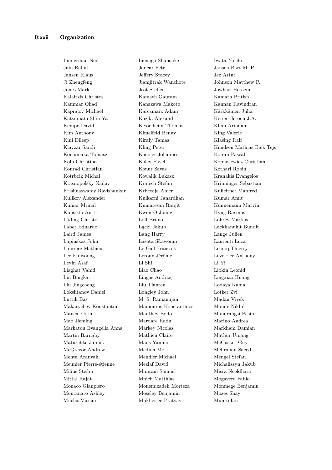Jain Rahul Jancar Petr Jansen Bart M. P. Jansen Klaus Jeffery Stacey Jeż Artur Ji Zhengfeng Jiamjitrak Wanchote Johnson Matthew P. Jones Mark Jost Steffen Jowhari Hossein Kalaitzis Christos Kamath Gautam Kamath Pritish Kammar Ohad Kanazawa Makoto Kannan Ravindran Kapralov Michael Karczmarz Adam Kärkkäinen Juha Katsumata Shin-Ya Kazda Alexandr Keiren Jeroen J.A. Kempe David Kesselheim Thomas Khan Arindam Kim Anthony Kimelfeld Benny King Valerie Kini Dileep Kiraly Tamas Klasing Ralf Klavzar Sandi Kling Peter Knudsen Mathias Bæk Tejs Kociumaka Tomasz Koebler Johannes Koiran Pascal Kolb Christina Kolev Pavel Komusiewicz Christian Konrad Christian Konur Savas Kothari Robin Kotrbcik Michal Kowalik Lukasz Kranakis Evangelos Krasnopolsky Nadav Kratsch Stefan Krinninger Sebastian Krishnaswamy Ravishankar Krivosija Amer Kufleitner Manfred Kulikov Alexander Kulkarni Janardhan Kumar Amit Kumar Mrinal Kumaresan Ranjit Künnemann Marvin Kuusisto Antti Kwon O-Joung Kyng Rasmus Löding Christof Loff Bruno Lohrey Markus Laber Eduardo Łącki Jakub Laekhanukit Bundit Laird James Lang Harry Lange Julien Lapinskas John Lasota SŁawomir Laurenti Luca Lauriere Mathieu Le Gall Francois Lecroq Thierry Lee Euiwoong Leroux Jérôme Leverrier Anthony Levin Asaf Li Shi Li Yi Liaghat Vahid Liao Chao Libkin Leonid Lin Bingkai Lingas Andrzej Lingxiao Huang Liu Jingcheng Liu Tianren Lodaya Kamal Lokshtanov Daniel Longley John Lotker Zvi Luttik Bas M. S. Ramanujan M. Madan Vivek Makarychev Konstantin Mamouras Konstantinos Mande Nikhil Manea Florin Manthey Bodo Manurangsi Pasin Mao Jieming Mardare Radu Marino Andrea Markatou Evangelia Anna Markey Nicolas Markham Damian Martin Barnaby Mathieu Claire Mathur Umang Matuschke Jannik Maus Yannic McCusker Guy McGregor Andrew Medina Moti Mehraban Saeed Mehta Aranyak Mendler Michael Mengel Stefan Meunier Pierre-étienne Mezlaf David Michaliszyn Jakub Milius Stefan Mimram Samuel Misra Neeldhara Mittal Rajat Mnich Matthias Mogavero Fabio Monaco Gianpiero Monemizadeh Morteza Monmege Benjamin Montanaro Ashley Moseley Benjamin Mozes Shay Mucha Marcin Mukherjee Pratyay Munro Ian

Immerman Neil Inenaga Shunsuke Iwata Yoichi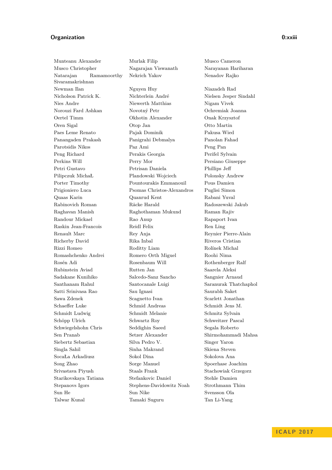# **Organization 0:xxiii**

Munteanu Alexander Murlak Filip Musco Cameron Musco Christopher Nagarajan Viswanath Narayanan Hariharan Natarajan Ramamoorthy Sivaramakrishnan Newman Ilan Nguyen Huy Niazadeh Rad

Nekrich Yakov Nenadov Rajko

Nicholson Patrick K. Nichterlein André Nielsen Jesper Sindahl Nies Andre Niewerth Matthias Nigam Vivek Norouzi Fard Ashkan Novotný Petr Ochremiak Joanna Oertel Timm Okhotin Alexander Onak Krzysztof Oren Sigal Otop Jan Otto Martin Paes Leme Renato Pajak Dominik Pakusa Wied Panangaden Prakash Panigrahi Debmalya Panolan Fahad Parotsidis Nikos Paz Ami Peng Pan Peng Richard Perakis Georgia Perifel Sylvain Perkins Will Perry Mor Persiano Giuseppe Petri Gustavo Petrisan Daniela Phillips Jeff Pilipczuk MichaŁ Plandowski Wojciech Polonsky Andrew Porter Timothy Pountourakis Emmanouil Pous Damien Prigioniero Luca Psomas Christos-Alexandros Puglisi Simon Quaas Karin Quanrud Kent Rabani Yuval Rabinovich Roman Räcke Harald Radoszewski Jakub Raghavan Manish Raghothaman Mukund Raman Rajiv Randour Mickael Rao Anup Rapaport Ivan Raskin Jean-Francois Reidl Felix Ren Ling Renault Marc Rev Anja Reynier Pierre-Alain Richerby David Rika Inbal Riveros Cristian Rizzi Romeo Roditty Liam Rolínek Michal Romashchenko Andrei Romero Orth Miguel Roohi Nima Rosén Adi Rosenbaum Will Rothenberger Ralf Rubinstein Aviad Rutten Jan Saarela Aleksi Sadakane Kunihiko Salcedo-Sanz Sancho Sangnier Arnaud Santhanam Rahul Santocanale Luigi Saranurak Thatchaphol Satti Srinivasa Rao Sau Ignasi Saurabh Saket Sawa Zdenek Scagnetto Ivan Scarlett Jonathan Schaeffer Luke Schmid Andreas Schmidt Jens M. Schmidt Ludwig Schmidt Melanie Schmitz Sylvain Schöpp Ulrich Schwartz Roy Schweitzer Pascal Schwiegelshohn Chris Seddighin Saeed Segala Roberto Sen Pranab Setzer Alexander Shirmohammadi Mahsa Siebertz Sebastian Silva Pedro V. Singer Yaron Singla Sahil Sinha Makrand Skiena Steven SocaŁa Arkadiusz Sokol Dina Sokolova Ana Song Zhao Sorge Manuel Spoerhase Joachim Srivastava Piyush Staals Frank Stachowiak Grzegorz Starikovskaya Tatiana Stefankovic Daniel Stehle Damien Stepanovs Igors Stephens-Davidowitz Noah Strothmann Thim Sun He Sun Nike Svensson Ola Talwar Kunal Tamaki Suguru Tan Li-Yang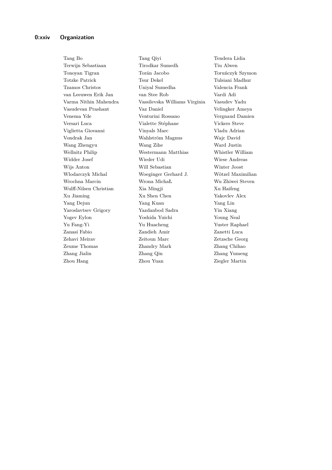Tang Bo Tang Qiyi Tendera Lidia Terwijn Sebastiaan Tirodkar Sumedh Tiu Alwen Tonoyan Tigran Torán Jacobo Toruńczyk Szymon Totzke Patrick Tsur Dekel Tulsiani Madhur Tzamos Christos Uniyal Sumedha Valencia Frank van Leeuwen Erik Jan van Stee Rob Vardi Adi Varma Nithin Mahendra Vassilevska Williams Virginia Vasudev Yadu Vasudevan Prashant Vaz Daniel Velingker Ameya Venema Yde Venturini Rossano Vergnaud Damien Versari Luca Vialette Stéphane Vickers Steve Viglietta Giovanni Vinyals Marc Vladu Adrian Vondrak Jan Wahlström Magnus Wajc David Wang Zhengyu Wang Zihe Ward Justin Wellnitz Philip Westermann Matthias Whistler William Widder Josef Wieder Udi Wiese Andreas Wijs Anton Will Sebastian Winter Joost Wlodarczyk Michal Woeginger Gerhard J. Wötzel Maximilian Wrochna Marcin Wrona MichaŁ Wu Zhiwei Steven Wulff-Nilsen Christian Xia Mingji Xu Haifeng Xu Jiaming Xu Shen Chen Yakovlev Alex Yang Dejun Yang Kuan Yang Lin Yaroslavtsev Grigory Yazdanbod Sadra Yin Xiang Yogev Eylon Yoshida Yuichi Young Neal Yu Fang-Yi Yu Huacheng Yuster Raphael Zanasi Fabio Zandieh Amir Zanetti Luca Zehavi Meirav Zeitoun Marc Zetzsche Georg Zeume Thomas Zhandry Mark Zhang Chihao Zhang Jialin Zhang Qin Zhang Yumeng Zhou Hang Zhou Yuan Ziegler Martin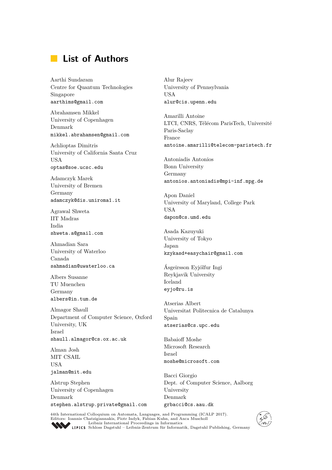# **List of Authors**

Aarthi Sundaram Centre for Quantum Technologies Singapore aarthims@gmail.com

Abrahamsen Mikkel University of Copenhagen Denmark mikkel.abrahamsen@gmail.com

Achlioptas Dimitris University of California Santa Cruz USA optas@soe.ucsc.edu

Adamczyk Marek University of Bremen Germany adamczyk@dis.uniroma1.it

Agrawal Shweta IIT Madras India shweta.a@gmail.com

Ahmadian Sara University of Waterloo Canada sahmadian@uwaterloo.ca

Albers Susanne TU Muenchen Germany albers@in.tum.de

Almagor Shaull Department of Computer Science, Oxford University, UK Israel shaull.almagor@cs.ox.ac.uk

Alman Josh MIT CSAIL USA jalman@mit.edu

Alstrup Stephen University of Copenhagen Denmark stephen.alstrup.private@gmail.com Alur Rajeev University of Pennsylvania USA alur@cis.upenn.edu

Amarilli Antoine LTCI, CNRS, Télécom ParisTech, Université Paris-Saclay France antoine.amarilli@telecom-paristech.fr

Antoniadis Antonios Bonn University Germany antonios.antoniadis@mpi-inf.mpg.de

Apon Daniel University of Maryland, College Park USA dapon@cs.umd.edu

Asada Kazuyuki University of Tokyo Japan kzykasd+easychair@gmail.com

Ásgeirsson Eyjólfur Ingi Reykjavik University Iceland eyjo@ru.is

Atserias Albert Universitat Politecnica de Catalunya Spain atserias@cs.upc.edu

Babaioff Moshe Microsoft Research Israel moshe@microsoft.com

Bacci Giorgio Dept. of Computer Science, Aalborg University Denmark grbacci@cs.aau.dk

44th International Colloquium on Automata, Languages, and Programming (ICALP 2017). Editors: Ioannis Chatzigiannakis, Piotr Indyk, Fabian Kuhn, and Anca Muscholl [Leibniz International Proceedings in Informatics](http://www.dagstuhl.de/en/publications/lipics/)



[Schloss Dagstuhl – Leibniz-Zentrum für Informatik, Dagstuhl Publishing, Germany](http://www.dagstuhl.de/en/about-dagstuhl/)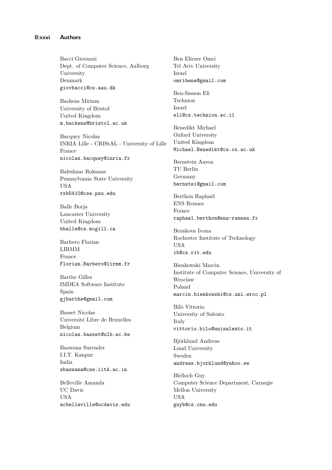Bacci Giovanni Dept. of Computer Science, Aalborg University Denmark giovbacci@cs.aau.dk

Backens Miriam University of Bristol United Kingdom m.backens@bristol.ac.uk

Bacquey Nicolas INRIA Lille - CRIStAL - University of Lille France nicolas.bacquey@inria.fr

Baleshzar Roksana Pennsylvania State University USA rxb5410@cse.psu.edu

Balle Borja Lancaster University United Kingdom bballe@cs.mcgill.ca

Barbero Florian LIRMM France Florian.Barbero@lirmm.fr

Barthe Gilles IMDEA Software Institute Spain gjbarthe@gmail.com

Basset Nicolas Université Libre de Bruxelles Belgium nicolas.basset@ulb.ac.be

Baswana Surender I.I.T. Kanpur India sbaswana@cse.iitk.ac.in

Belleville Amanda UC Davis USA acbelleville@ucdavis.edu Ben Eliezer Omri Tel Aviv University Israel omribene@gmail.com

Ben-Sasson Eli Technion Israel eli@cs.technion.ac.il

Benedikt Michael Oxford University United Kingdom Michael.Benedikt@cs.ox.ac.uk

Bernstein Aaron TU Berlin Germany bernstei@gmail.com

Berthon Raphaël ENS Rennes France raphael.berthon@ens-rennes.fr

Bezakova Ivona Rochester Institute of Technology USA ib@cs.rit.edu

Bienkowski Marcin Institute of Computer Science, University of Wroclaw Poland marcin.bienkowski@cs.uni.wroc.pl

Bilò Vittorio University of Salento Italy vittorio.bilo@unisalento.it

Björklund Andreas Lund University Sweden andreas.bjorklund@yahoo.se

Blelloch Guy Computer Science Department, Carnegie Mellon University USA guyb@cs.cmu.edu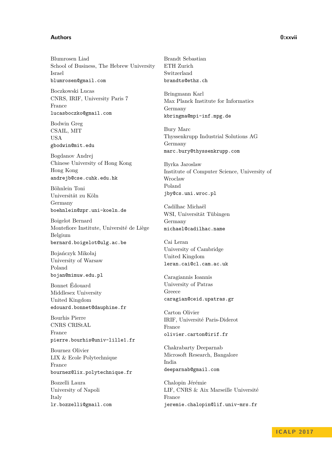### **Authors 0:xxvii**

Blumrosen Liad School of Business, The Hebrew University Israel blumrosen@gmail.com

Boczkowski Lucas CNRS, IRIF, University Paris 7 France lucasboczko@gmail.com

Bodwin Greg CSAIL, MIT USA gbodwin@mit.edu

Bogdanov Andrej Chinese University of Hong Kong Hong Kong andrejb@cse.cuhk.edu.hk

Böhnlein Toni Universität zu Köln Germany boehnlein@zpr.uni-koeln.de

Boigelot Bernard Montefiore Institute, Université de Liège Belgium bernard.boigelot@ulg.ac.be

Bojańczyk Mikołaj University of Warsaw Poland bojan@mimuw.edu.pl

Bonnet Édouard Middlesex University United Kingdom edouard.bonnet@dauphine.fr

Bourhis Pierre CNRS CRIStAL France pierre.bourhis@univ-lille1.fr

Bournez Olivier LIX & Ecole Polytechnique France bournez@lix.polytechnique.fr

Bozzelli Laura University of Napoli Italy lr.bozzelli@gmail.com

Brandt Sebastian ETH Zurich Switzerland brandts@ethz.ch

Bringmann Karl Max Planck Institute for Informatics Germany kbringma@mpi-inf.mpg.de

Bury Marc Thyssenkrupp Industrial Solutions AG Germany marc.bury@thyssenkrupp.com

Byrka Jaroslaw Institute of Computer Science, University of Wroclaw Poland jby@cs.uni.wroc.pl

Cadilhac Michaël WSI, Universität Tübingen Germany michael@cadilhac.name

Cai Leran University of Cambridge United Kingdom leran.cai@cl.cam.ac.uk

Caragiannis Ioannis University of Patras Greece caragian@ceid.upatras.gr

Carton Olivier IRIF, Université Paris-Diderot France olivier.carton@irif.fr

Chakrabarty Deeparnab Microsoft Research, Bangalore India deeparnab@gmail.com

Chalopin Jérémie LIF, CNRS & Aix Marseille Université France jeremie.chalopin@lif.univ-mrs.fr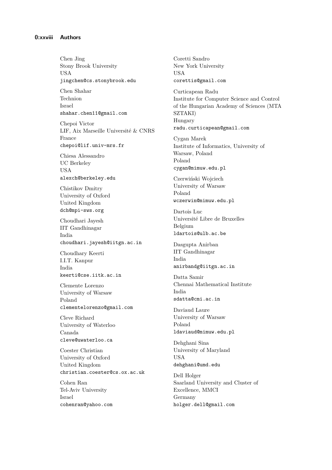Chen Jing Stony Brook University USA jingchen@cs.stonybrook.edu

Chen Shahar Technion Israel shahar.chen11@gmail.com

Chepoi Victor LIF, Aix Marseille Université & CNRS France chepoi@lif.univ-mrs.fr

Chiesa Alessandro UC Berkeley USA alexch@berkeley.edu

Chistikov Dmitry University of Oxford United Kingdom dch@mpi-sws.org

Choudhari Jayesh IIT Gandhinagar India choudhari.jayesh@iitgn.ac.in

Choudhary Keerti I.I.T. Kanpur India keerti@cse.iitk.ac.in

Clemente Lorenzo University of Warsaw Poland clementelorenzo@gmail.com

Cleve Richard University of Waterloo Canada cleve@uwaterloo.ca

Coester Christian University of Oxford United Kingdom christian.coester@cs.ox.ac.uk

Cohen Ran Tel-Aviv University Israel cohenran@yahoo.com Coretti Sandro New York University USA corettis@gmail.com

Curticapean Radu Institute for Computer Science and Control of the Hungarian Academy of Sciences (MTA SZTAKI) Hungary radu.curticapean@gmail.com

Cygan Marek Institute of Informatics, University of Warsaw, Poland Poland cygan@mimuw.edu.pl

Czerwiński Wojciech University of Warsaw Poland wczerwin@mimuw.edu.pl

Dartois Luc Université Libre de Bruxelles Belgium ldartois@ulb.ac.be

Dasgupta Anirban IIT Gandhinagar India anirbandg@iitgn.ac.in

Datta Samir Chennai Mathematical Institute India sdatta@cmi.ac.in

Daviaud Laure University of Warsaw Poland ldaviaud@mimuw.edu.pl

Dehghani Sina University of Maryland USA dehghani@umd.edu

Dell Holger Saarland University and Cluster of Excellence, MMCI Germany holger.dell@gmail.com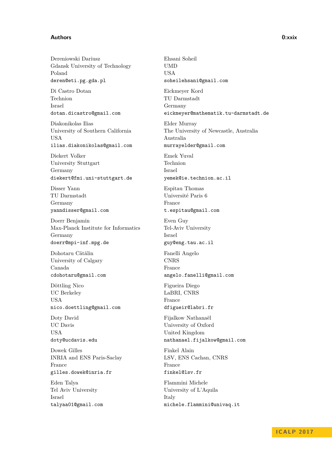### **Authors 0:xxix**

Dereniowski Dariusz Gdansk University of Technology Poland deren@eti.pg.gda.pl

Di Castro Dotan Technion Israel dotan.dicastro@gmail.com

Diakonikolas Ilias University of Southern California USA ilias.diakonikolas@gmail.com

Diekert Volker University Stuttgart Germany diekert@fmi.uni-stuttgart.de

Disser Yann TU Darmstadt Germany yanndisser@gmail.com

Doerr Benjamin Max-Planck Institute for Informatics Germany doerr@mpi-inf.mpg.de

Dohotaru Cătălin University of Calgary Canada cdohotaru@gmail.com

Döttling Nico UC Berkeley USA nico.doettling@gmail.com

Doty David UC Davis USA doty@ucdavis.edu

Dowek Gilles INRIA and ENS Paris-Saclay France gilles.dowek@inria.fr

Eden Talya Tel Aviv University Israel talyaa01@gmail.com Ehsani Soheil UMD USA soheilehsani@gmail.com

Eickmeyer Kord TU Darmstadt Germany eickmeyer@mathematik.tu-darmstadt.de

Elder Murray The University of Newcastle, Australia Australia murrayelder@gmail.com

Emek Yuval Technion Israel yemek@ie.technion.ac.il

Espitau Thomas Université Paris 6 France t.espitau@gmail.com

Even Guy Tel-Aviv University Israel guy@eng.tau.ac.il

Fanelli Angelo CNRS France angelo.fanelli@gmail.com

Figueira Diego LaBRI, CNRS France

dfigueir@labri.fr

Fijalkow Nathanaël University of Oxford United Kingdom nathanael.fijalkow@gmail.com

Finkel Alain LSV, ENS Cachan, CNRS France finkel@lsv.fr

Flammini Michele University of L'Aquila Italy michele.flammini@univaq.it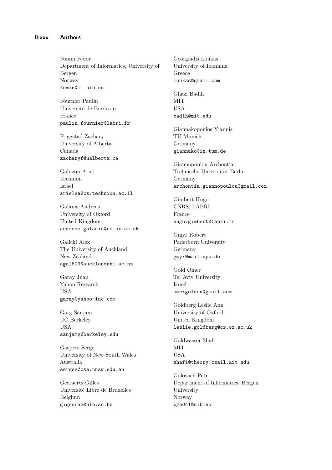Fomin Fedor Department of Informatics, University of Bergen Norway fomin@ii.uib.no

Fournier Paulin Université de Bordeaux France paulin.fournier@labri.fr

Friggstad Zachary University of Alberta Canada zacharyf@ualberta.ca

Gabizon Ariel Technion Israel arielga@cs.technion.ac.il

Galanis Andreas University of Oxford United Kingdom andreas.galanis@cs.ox.ac.uk

Galicki Alex The University of Auckland New Zealand agal629@aucklanduni.ac.nz

Garay Juan Yahoo Research USA garay@yahoo-inc.com

Garg Sanjam UC Berkeley USA sanjamg@berkeley.edu

Gaspers Serge University of New South Wales Australia sergeg@cse.unsw.edu.au

Geeraerts Gilles Université Libre de Bruxelles Belgium gigeerae@ulb.ac.be

Georgiadis Loukas University of Ioannina Greece loukas@gmail.com

Ghazi Badih **MIT** USA badih@mit.edu

Giannakopoulos Yiannis TU Munich Germany giannako@in.tum.de

Giannopoulou Archontia Technische Universität Berlin Germany archontia.giannopoulou@gmail.com

Gimbert Hugo CNRS, LABRI France hugo.gimbert@labri.fr

Gmyr Robert Paderborn University Germany gmyr@mail.upb.de

Gold Omer Tel Aviv University Israel omergolden@gmail.com

Goldberg Leslie Ann University of Oxford United Kingdom leslie.goldberg@cs.ox.ac.uk

Goldwasser Shafi **MIT USA** shafi@theory.csail.mit.edu

Golovach Petr Department of Informatics, Bergen University Norway pgo041@uib.no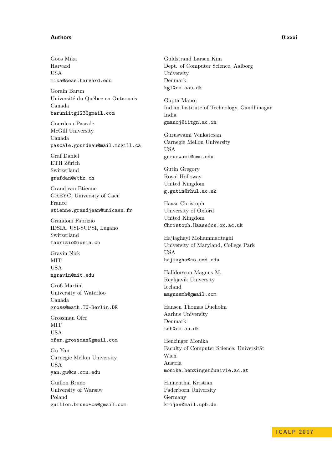#### **Authors 0:xxxi**

Göös Mika Harvard **IISA** mika@seas.harvard.edu

Gorain Barun Université du Québec en Outaouais Canada baruniitg123@gmail.com

Gourdeau Pascale McGill University Canada pascale.gourdeau@mail.mcgill.ca

Graf Daniel ETH Zürich Switzerland grafdan@ethz.ch

Grandjean Etienne GREYC, University of Caen France etienne.grandjean@unicaen.fr

Grandoni Fabrizio IDSIA, USI-SUPSI, Lugano Switzerland fabrizio@idsia.ch

Gravin Nick MIT USA ngravin@mit.edu

Groß Martin University of Waterloo Canada gross@math.TU-Berlin.DE

Grossman Ofer MIT USA

ofer.grossman@gmail.com

Gu Yan Carnegie Mellon University USA yan.gu@cs.cmu.edu

Guillon Bruno University of Warsaw Poland guillon.bruno+cs@gmail.com Guldstrand Larsen Kim Dept. of Computer Science, Aalborg University Denmark kgl@cs.aau.dk

Gupta Manoj Indian Institute of Technology, Gandhinagar India gmanoj@iitgn.ac.in

Guruswami Venkatesan Carnegie Mellon University USA guruswami@cmu.edu

Gutin Gregory Royal Holloway United Kingdom g.gutin@rhul.ac.uk

Haase Christoph University of Oxford United Kingdom Christoph.Haase@cs.ox.ac.uk

Hajiaghayi Mohammadtaghi University of Maryland, College Park USA hajiagha@cs.umd.edu

Halldorsson Magnus M. Reykjavik University Iceland magnusmh@gmail.com

Hansen Thomas Dueholm Aarhus University Denmark tdh@cs.au.dk

Henzinger Monika Faculty of Computer Science, Universität Wien Austria monika.henzinger@univie.ac.at

Hinnenthal Kristian Paderborn University Germany krijan@mail.upb.de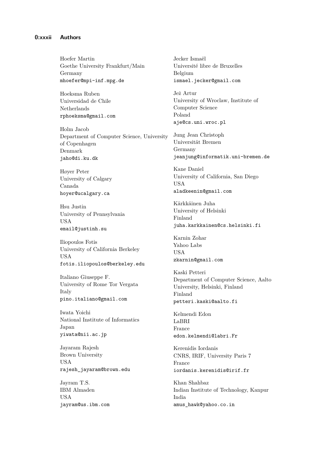Hoefer Martin Goethe University Frankfurt/Main Germany mhoefer@mpi-inf.mpg.de

Hoeksma Ruben Universidad de Chile Netherlands rphoeksma@gmail.com

Holm Jacob Department of Computer Science, University of Copenhagen Denmark jaho@di.ku.dk

Høyer Peter University of Calgary Canada hoyer@ucalgary.ca

Hsu Justin University of Pennsylvania USA email@justinh.su

Iliopoulos Fotis University of California Berkeley USA fotis.iliopoulos@berkeley.edu

Italiano Giuseppe F. University of Rome Tor Vergata Italy pino.italiano@gmail.com

Iwata Yoichi National Institute of Informatics Japan yiwata@nii.ac.jp

Jayaram Rajesh Brown University USA rajesh\_jayaram@brown.edu

Jayram T.S. IBM Almaden USA jayram@us.ibm.com Jecker Ismaël Université libre de Bruxelles Belgium ismael.jecker@gmail.com

Jeż Artur University of Wroclaw, Institute of Computer Science Poland aje@cs.uni.wroc.pl

Jung Jean Christoph Universität Bremen Germany jeanjung@informatik.uni-bremen.de

Kane Daniel University of California, San Diego USA aladkeenin@gmail.com

Kärkkäinen Juha University of Helsinki Finland juha.karkkainen@cs.helsinki.fi

Karnin Zohar Yahoo Labs USA zkarnin@gmail.com

Kaski Petteri Department of Computer Science, Aalto University, Helsinki, Finland Finland petteri.kaski@aalto.fi

Kelmendi Edon LaBRI France edon.kelmendi@labri.Fr

Kerenidis Iordanis CNRS, IRIF, University Paris 7 France iordanis.kerenidis@irif.fr

Khan Shahbaz Indian Institute of Technology, Kanpur India amus\_hawk@yahoo.co.in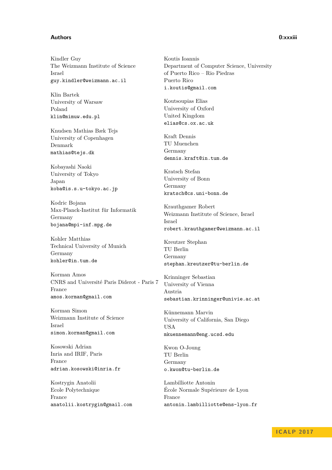### **Authors 0:xxxiii**

Kindler Guy The Weizmann Institute of Science Israel guy.kindler@weizmann.ac.il

Klin Bartek University of Warsaw Poland klin@mimuw.edu.pl

Knudsen Mathias Bæk Tejs University of Copenhagen Denmark mathias@tejs.dk

Kobayashi Naoki University of Tokyo Japan koba@is.s.u-tokyo.ac.jp

Kodric Bojana Max-Planck-Institut für Informatik Germany bojana@mpi-inf.mpg.de

Kohler Matthias Technical University of Munich Germany kohler@in.tum.de

Korman Amos CNRS and Université Paris Diderot - Paris 7 France amos.korman@gmail.com

Korman Simon Weizmann Institute of Science Israel simon.korman@gmail.com

Kosowski Adrian Inria and IRIF, Paris France adrian.kosowski@inria.fr

Kostrygin Anatolii Ecole Polytechnique France anatolii.kostrygin@gmail.com

Koutis Ioannis Department of Computer Science, University of Puerto Rico – Rio Piedras Puerto Rico i.koutis@gmail.com

Koutsoupias Elias University of Oxford United Kingdom elias@cs.ox.ac.uk

Kraft Dennis TU Muenchen Germany dennis.kraft@in.tum.de

Kratsch Stefan University of Bonn Germany kratsch@cs.uni-bonn.de

Krauthgamer Robert Weizmann Institute of Science, Israel Israel robert.krauthgamer@weizmann.ac.il

Kreutzer Stephan TU Berlin Germany stephan.kreutzer@tu-berlin.de

Krinninger Sebastian University of Vienna Austria sebastian.krinninger@univie.ac.at

Künnemann Marvin University of California, San Diego USA mkuennemann@eng.ucsd.edu

Kwon O-Joung TU Berlin Germany o.kwon@tu-berlin.de

Lambilliotte Antonin École Normale Supérieure de Lyon France antonin.lambilliotte@ens-lyon.fr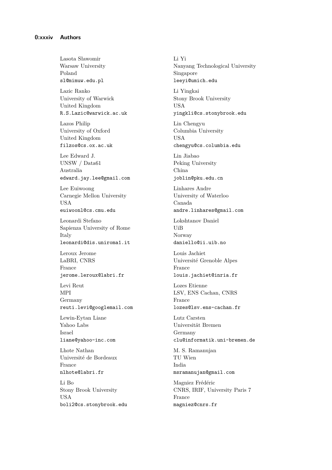Lasota Sławomir Warsaw University Poland sl@mimuw.edu.pl

Lazic Ranko University of Warwick United Kingdom R.S.Lazic@warwick.ac.uk

Lazos Philip University of Oxford United Kingdom filzos@cs.ox.ac.uk

Lee Edward J. UNSW / Data61 Australia edward.jay.lee@gmail.com

Lee Euiwoong Carnegie Mellon University USA euiwoonl@cs.cmu.edu

Leonardi Stefano Sapienza University of Rome Italy leonardi@dis.uniroma1.it

Leroux Jerome LaBRI, CNRS France jerome.leroux@labri.fr

Levi Reut MPI Germany reuti.levi@googlemail.com

Lewin-Eytan Liane Yahoo Labs Israel liane@yahoo-inc.com

Lhote Nathan Université de Bordeaux France nlhote@labri.fr

Li Bo Stony Brook University USA boli2@cs.stonybrook.edu Li Yi Nanyang Technological University Singapore leeyi@umich.edu

Li Yingkai Stony Brook University USA yingkli@cs.stonybrook.edu

Lin Chengyu Columbia University USA

chengyu@cs.columbia.edu

Lin Jiabao Peking University China joblin@pku.edu.cn

Linhares Andre University of Waterloo Canada andre.linhares@gmail.com

Lokshtanov Daniel UiB Norway daniello@ii.uib.no

Louis Jachiet Université Grenoble Alpes France louis.jachiet@inria.fr

Lozes Etienne LSV, ENS Cachan, CNRS France lozes@lsv.ens-cachan.fr

Lutz Carsten Universität Bremen Germany clu@informatik.uni-bremen.de

M. S. Ramanujan TU Wien India msramanujan@gmail.com

Magniez Frédéric CNRS, IRIF, University Paris 7 France magniez@cnrs.fr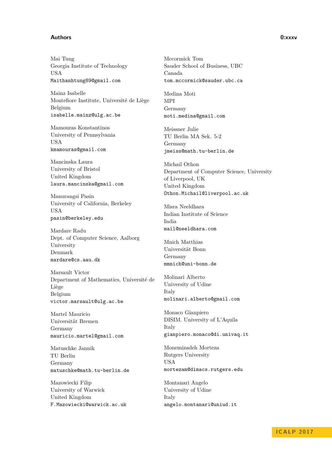### **Authors 0:xxxv**

Mai Tung Georgia Institute of Technology USA Maithanhtung89@gmail.com

Mainz Isabelle Montefiore Institute, Université de Liège Belgium isabelle.mainz@ulg.ac.be

Mamouras Konstantinos University of Pennsylvania USA kmamouras@gmail.com

Mancinska Laura University of Bristol United Kingdom laura.mancinska@gmail.com

Manurangsi Pasin University of California, Berkeley USA pasin@berkeley.edu

Mardare Radu Dept. of Computer Science, Aalborg University Denmark mardare@cs.aau.dk

Marsault Victor Department of Mathematics, Université de Liège Belgium victor.marsault@ulg.ac.be

Martel Mauricio Universität Bremen Germany mauricio.martel@gmail.com

Matuschke Jannik TU Berlin Germany matuschke@math.tu-berlin.de

Mazowiecki Filip University of Warwick United Kingdom F.Mazowiecki@warwick.ac.uk Mccormick Tom Sauder School of Business, UBC Canada tom.mccormick@sauder.ubc.ca

Medina Moti MPI Germany moti.medina@gmail.com

Meissner Julie TU Berlin MA Sek. 5-2 Germany jmeiss@math.tu-berlin.de

Michail Othon Department of Computer Science, University of Liverpool, UK United Kingdom Othon.Michail@liverpool.ac.uk

Misra Neeldhara Indian Institute of Science India mail@neeldhara.com

Mnich Matthias Universität Bonn Germany mmnich@uni-bonn.de

Molinari Alberto University of Udine Italy molinari.alberto@gmail.com

Monaco Gianpiero DISIM. University of L'Aquila Italy gianpiero.monaco@di.univaq.it

Monemizadeh Morteza Rutgers University USA mortezam@dimacs.rutgers.edu

Montanari Angelo University of Udine Italy angelo.montanari@uniud.it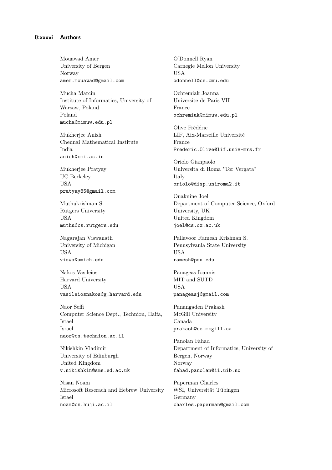Mouawad Amer University of Bergen Norway amer.mouawad@gmail.com

Mucha Marcin Institute of Informatics, University of Warsaw, Poland Poland mucha@mimuw.edu.pl

Mukherjee Anish Chennai Mathematical Institute India anish@cmi.ac.in

Mukherjee Pratyay UC Berkeley USA pratyay85@gmail.com

Muthukrishnan S. Rutgers University USA muthu@cs.rutgers.edu

Nagarajan Viswanath University of Michigan USA viswa@umich.edu

Nakos Vasileios Harvard University USA vasileiosnakos@g.harvard.edu

Naor Seffi Computer Science Dept., Technion, Haifa, Israel Israel naor@cs.technion.ac.il

Nikishkin Vladimir University of Edinburgh United Kingdom v.nikishkin@sms.ed.ac.uk

Nisan Noam Microsoft Reserach and Hebrew University Israel noam@cs.huji.ac.il

O'Donnell Ryan Carnegie Mellon University **USA** odonnell@cs.cmu.edu

Ochremiak Joanna Universite de Paris VII France ochremiak@mimuw.edu.pl

Olive Frédéric LIF, Aix-Marseille Université France Frederic.Olive@lif.univ-mrs.fr

Oriolo Gianpaolo Universita di Roma "Tor Vergata" Italy oriolo@disp.uniroma2.it

Ouaknine Joel Department of Computer Science, Oxford University, UK United Kingdom joel@cs.ox.ac.uk

Pallavoor Ramesh Krishnan S. Pennsylvania State University USA ramesh@psu.edu

Panageas Ioannis MIT and SUTD USA panageasj@gmail.com

Panangaden Prakash McGill University Canada prakash@cs.mcgill.ca

Panolan Fahad Department of Informatics, University of Bergen, Norway Norway fahad.panolan@ii.uib.no

Paperman Charles WSI, Universität Tübingen Germany charles.paperman@gmail.com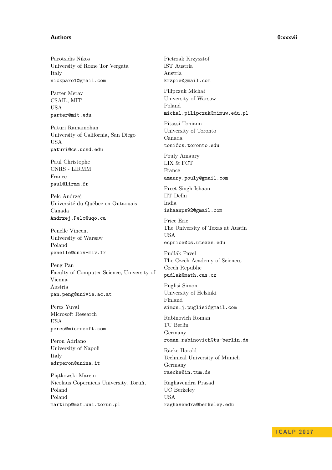### **Authors 0:xxxvii**

Parotsidis Nikos University of Rome Tor Vergata Italy nickparo1@gmail.com

Parter Merav CSAIL, MIT USA parter@mit.edu

Paturi Ramamohan University of California, San Diego USA paturi@cs.ucsd.edu

Paul Christophe CNRS - LIRMM France paul@lirmm.fr

Pelc Andrzej Université du Québec en Outaouais Canada Andrzej.Pelc@uqo.ca

Penelle Vincent University of Warsaw Poland penelle@univ-mlv.fr

Peng Pan Faculty of Computer Science, University of Vienna Austria pan.peng@univie.ac.at

Peres Yuval Microsoft Research USA peres@microsoft.com

Peron Adriano University of Napoli Italy adrperon@unina.it

Piątkowski Marcin Nicolaus Copernicus University, Toruń, Poland Poland martinp@mat.uni.torun.pl

Pietrzak Krzysztof IST Austria Austria krzpie@gmail.com

Pilipczuk Michał University of Warsaw Poland michal.pilipczuk@mimuw.edu.pl

Pitassi Toniann University of Toronto Canada toni@cs.toronto.edu

Pouly Amaury LIX & FCT France amaury.pouly@gmail.com

Preet Singh Ishaan IIT Delhi India ishaanps92@gmail.com

Price Eric The University of Texas at Austin USA ecprice@cs.utexas.edu

Pudlák Pavel The Czech Academy of Sciences Czech Republic pudlak@math.cas.cz

Puglisi Simon University of Helsinki Finland simon.j.puglisi@gmail.com

Rabinovich Roman TU Berlin Germany roman.rabinovich@tu-berlin.de

Räcke Harald Technical University of Munich Germany raecke@in.tum.de

Raghavendra Prasad UC Berkeley USA raghavendra@berkeley.edu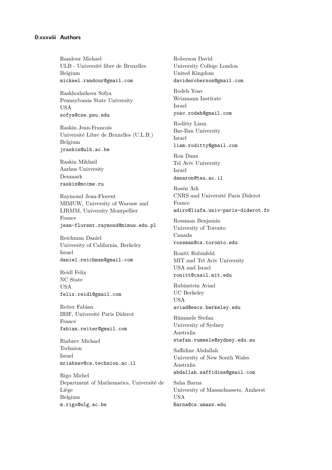## **0:xxxviii Authors**

Randour Mickael ULB - Université libre de Bruxelles Belgium mickael.randour@gmail.com

Raskhodnikova Sofya Pennsylvania State University USA sofya@cse.psu.edu

Raskin Jean-Francois Université Libre de Bruxelles (U.L.B.) Belgium jraskin@ulb.ac.be

Raskin Mikhail Aarhus University Denmark raskin@mccme.ru

Raymond Jean-Florent MIMUW, University of Warsaw and LIRMM, University Montpellier France jean-florent.raymond@mimuw.edu.pl

Reichman Daniel University of California, Berkeley Israel daniel.reichman@gmail.com

Reidl Felix NC State USA felix.reidl@gmail.com

Reiter Fabian IRIF, Université Paris Diderot France fabian.reiter@gmail.com

Riabzev Michael Technion Israel mriabzev@cs.technion.ac.il

Rigo Michel Department of Mathematics, Université de Liège Belgium m.rigo@ulg.ac.be

Roberson David University College London United Kingdom davideroberson@gmail.com

Rodeh Yoav Weizmann Institute Israel yoav.rodeh@gmail.com

Roditty Liam Bar-Ilan University Israel

liam.roditty@gmail.com

Ron Dana Tel Aviv University Israel danaron@tau.ac.il

Rosén Adi CNRS and Université Paris Diderot France adiro@liafa.univ-paris-diderot.fr

Rossman Benjamin University of Toronto Canada rossman@cs.toronto.edu

Ronitt Rubinfeld MIT and Tel Aviv University USA and Israel ronitt@csail.mit.edu

Rubinstein Aviad UC Berkeley USA aviad@eecs.berkeley.edu

Rümmele Stefan University of Sydney Australia stefan.rummele@sydney.edu.au

Saffidine Abdallah University of New South Wales Australia abdallah.saffidine@gmail.com

Saha Barna University of Massachussets, Amherst USA Barna@cs.umass.edu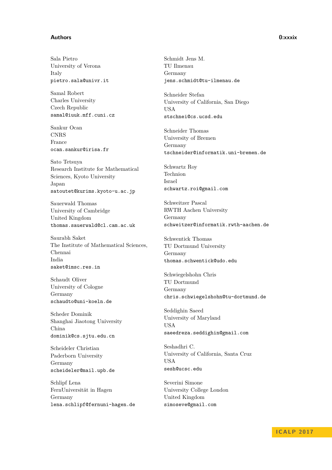### **Authors 0:xxxix**

Sala Pietro University of Verona Italy pietro.sala@univr.it

Samal Robert Charles University Czech Republic samal@iuuk.mff.cuni.cz

Sankur Ocan CNRS France ocan.sankur@irisa.fr

Sato Tetsuya Research Institute for Mathematical Sciences, Kyoto University Japan satoutet@kurims.kyoto-u.ac.jp

Sauerwald Thomas University of Cambridge United Kingdom thomas.sauerwald@cl.cam.ac.uk

Saurabh Saket The Institute of Mathematical Sciences, Chennai India saket@imsc.res.in

Schaudt Oliver University of Cologne Germany schaudto@uni-koeln.de

Scheder Dominik Shanghai Jiaotong University China dominik@cs.sjtu.edu.cn

Scheideler Christian Paderborn University Germany scheideler@mail.upb.de

Schlipf Lena FernUniversität in Hagen Germany lena.schlipf@fernuni-hagen.de Schmidt Jens M. TU Ilmenau Germany jens.schmidt@tu-ilmenau.de

Schneider Stefan University of California, San Diego **USA** stschnei@cs.ucsd.edu

Schneider Thomas University of Bremen Germany tschneider@informatik.uni-bremen.de

Schwartz Roy Technion Israel schwartz.roi@gmail.com

Schweitzer Pascal RWTH Aachen University Germany schweitzer@informatik.rwth-aachen.de

Schwentick Thomas TU Dortmund University Germany thomas.schwentick@udo.edu

Schwiegelshohn Chris TU Dortmund Germany chris.schwiegelshohn@tu-dortmund.de

Seddighin Saeed University of Maryland USA saeedreza.seddighin@gmail.com

Seshadhri C. University of California, Santa Cruz USA sesh@ucsc.edu

Severini Simone University College London United Kingdom simoseve@gmail.com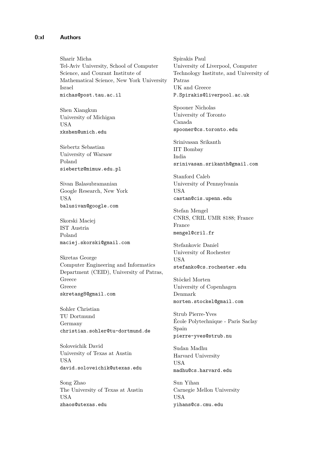## **0:xl Authors**

Sharir Micha Tel-Aviv University, School of Computer Science, and Courant Institute of Mathematical Science, New York University Israel michas@post.tau.ac.il

Shen Xiangkun University of Michigan USA xkshen@umich.edu

Siebertz Sebastian University of Warsaw Poland siebertz@mimuw.edu.pl

Sivan Balasubramanian Google Research, New York USA balusivan@google.com

Skorski Maciej IST Austria Poland maciej.skorski@gmail.com

Skretas George Computer Engineering and Informatics Department (CEID), University of Patras, Greece Greece skretasg8@gmail.com

Sohler Christian TU Dortmund Germany christian.sohler@tu-dortmund.de

Soloveichik David University of Texas at Austin USA david.soloveichik@utexas.edu

Song Zhao The University of Texas at Austin USA zhaos@utexas.edu

Spirakis Paul University of Liverpool, Computer Technology Institute, and University of Patras UK and Greece P.Spirakis@liverpool.ac.uk

Spooner Nicholas University of Toronto Canada spooner@cs.toronto.edu

Srinivasan Srikanth IIT Bombay India srinivasan.srikanth@gmail.com

Stanford Caleb University of Pennsylvania USA castan@cis.upenn.edu

Stefan Mengel CNRS, CRIL UMR 8188; France France mengel@cril.fr

Stefankovic Daniel University of Rochester USA stefanko@cs.rochester.edu

Stöckel Morten University of Copenhagen Denmark morten.stockel@gmail.com

Strub Pierre-Yves École Polytechnique - Paris Saclay Spain pierre-yves@strub.nu

Sudan Madhu Harvard University USA madhu@cs.harvard.edu

Sun Yihan Carnegie Mellon University USA yihans@cs.cmu.edu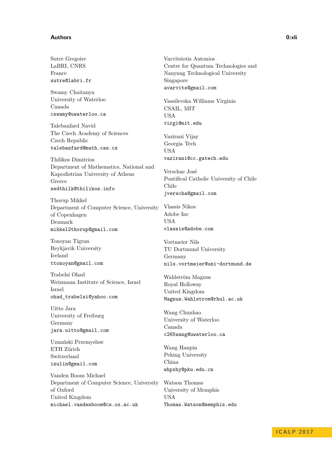#### **Authors 0:xli**

Sutre Gregoire LaBRI, CNRS France sutre@labri.fr

Swamy Chaitanya University of Waterloo Canada cswamy@uwaterloo.ca

Talebanfard Navid The Czech Academy of Sciences Czech Republic talebanfard@math.cas.cz

Thilikos Dimitrios Department of Mathematics, National and Kapodistrian University of Athens Greece sedthilk@thilikos.info

Thorup Mikkel Department of Computer Science, University of Copenhagen Denmark mikkel2thorup@gmail.com

Tonoyan Tigran Reykjavik University Iceland ttonoyan@gmail.com

Trabelsi Ohad Weizmann Institute of Science, Israel Israel ohad\_trabelsi@yahoo.com

Uitto Jara University of Freiburg Germany jara.uitto@gmail.com

Uznański Przemysław ETH Zürich Switzerland izulin@gmail.com

Vanden Boom Michael Department of Computer Science, University of Oxford United Kingdom michael.vandenboom@cs.ox.ac.uk

Varvitsiotis Antonios Centre for Quantum Technologies and Nanyang Technological University Singapore avarvits@gmail.com

Vassilevska Williams Virginia CSAIL, MIT USA virgi@mit.edu

Vazirani Vijay Georgia Tech USA vazirani@cc.gatech.edu

Verschae José Pontifical Catholic University of Chile Chile jverscha@gmail.com

Vlassis Nikos Adobe Inc USA vlassis@adobe.com

Vortmeier Nils TU Dortmund University Germany nils.vortmeier@uni-dortmund.de

Wahlström Magnus Royal Holloway United Kingdom Magnus.Wahlstrom@rhul.ac.uk

Wang Chunhao University of Waterloo Canada c265wang@uwaterloo.ca

Wang Hanpin Peking University China whpxhy@pku.edu.cn

Watson Thomas University of Memphis USA Thomas.Watson@memphis.edu